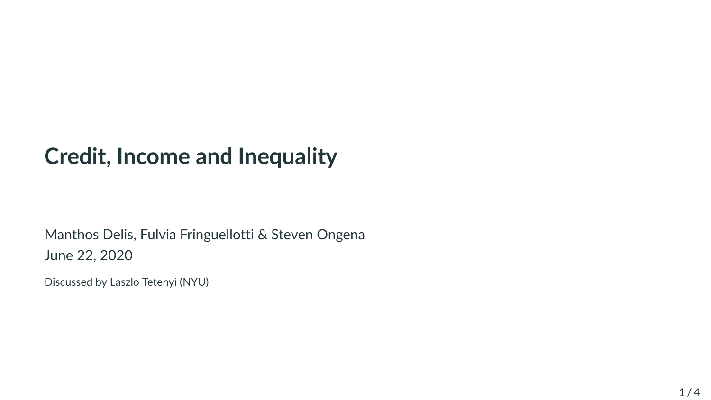## **Credit, Income and Inequality**

Manthos Delis, Fulvia Fringuellotti & Steven Ongena June 22, 2020

Discussed by Laszlo Tetenyi (NYU)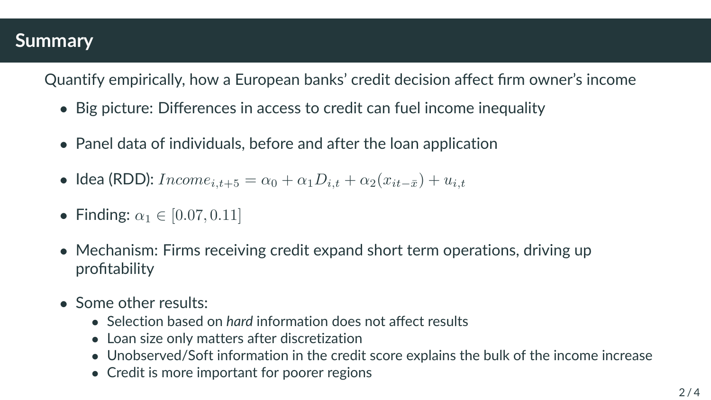## **Summary**

Quantify empirically, how a European banks' credit decision affect firm owner's income

- Big picture: Differences in access to credit can fuel income inequality
- Panel data of individuals, before and after the loan application
- Idea (RDD):  $Income_{i,t+5} = \alpha_0 + \alpha_1D_{i,t} + \alpha_2(x_{it-\bar{x}}) + u_{i,t}$
- Finding:  $\alpha_1 \in [0.07, 0.11]$
- Mechanism: Firms receiving credit expand short term operations, driving up profitability
- Some other results:
	- Selection based on *hard* information does not affect results
	- Loan size only matters after discretization
	- Unobserved/Soft information in the credit score explains the bulk of the income increase
	- Credit is more important for poorer regions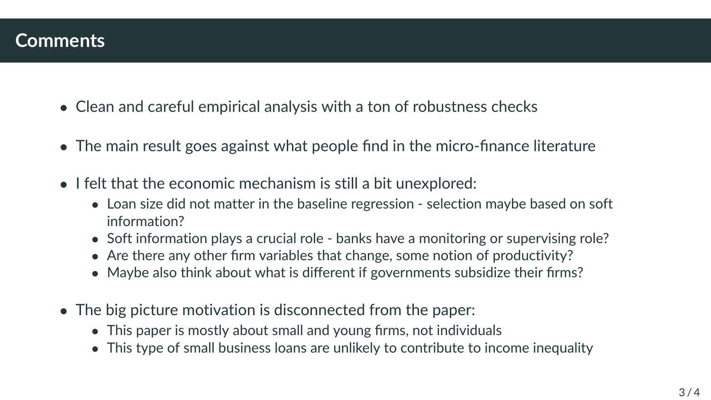## **Comments**

- Clean and careful empirical analysis with a ton of robustness checks
- The main result goes against what people find in the micro-finance literature
- I felt that the economic mechanism is still a bit unexplored:
	- Loan size did not matter in the baseline regression selection maybe based on soft information?
	- Soft information plays a crucial role banks have a monitoring or supervising role?
	- Are there any other firm variables that change, some notion of productivity?
	- Maybe also think about what is different if governments subsidize their firms?
- The big picture motivation is disconnected from the paper:
	- This paper is mostly about small and young firms, not individuals
	- This type of small business loans are unlikely to contribute to income inequality